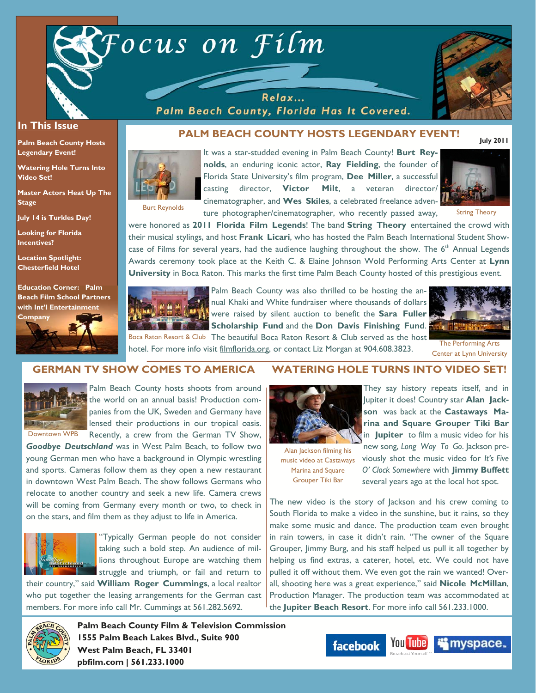

Relax... Palm Beach County, Florida Has It Covered.

hotel. For more info visit filmflorida.org, or contact Liz Morgan at 904.608.3823.



#### **In This Issue**

**Palm Beach County Hosts Legendary Event!** 

**Watering Hole Turns Into Video Set!** 

**Master Actors Heat Up The Stage** 

**July 14 is Turkles Day!** 

**Looking for Florida Incentives?** 

**Location Spotlight: Chesterfield Hotel** 

**Education Corner: Palm Beach Film School Partners with Int'l Entertainment** 



# **PALM BEACH COUNTY HOSTS LEGENDARY EVENT!**

Burt Reynolds

It was a star-studded evening in Palm Beach County! **Burt Reynolds**, an enduring iconic actor, **Ray Fielding**, the founder of Florida State University's film program, **Dee Miller**, a successful casting director, **Victor Milt**, a veteran director/ cinematographer, and **Wes Skiles**, a celebrated freelance adventure photographer/cinematographer, who recently passed away,



String Theory

were honored as **2011 Florida Film Legends**! The band **String Theory** entertained the crowd with their musical stylings, and host **Frank Licari**, who has hosted the Palm Beach International Student Showcase of Films for several years, had the audience laughing throughout the show. The 6<sup>th</sup> Annual Legends Awards ceremony took place at the Keith C. & Elaine Johnson Wold Performing Arts Center at **Lynn University** in Boca Raton. This marks the first time Palm Beach County hosted of this prestigious event.



Palm Beach County was also thrilled to be hosting the annual Khaki and White fundraiser where thousands of dollars were raised by silent auction to benefit the **Sara Fuller Scholarship Fund** and the **Don Davis Finishing Fund**. Boca Raton Resort & Club The beautiful Boca Raton Resort & Club served as the host



The Performing Arts Center at Lynn University

### **GERMAN TV SHOW COMES TO AMERICA**



Palm Beach County hosts shoots from around the world on an annual basis! Production companies from the UK, Sweden and Germany have lensed their productions in our tropical oasis. Recently, a crew from the German TV Show,

*Goodbye Deutschland* was in West Palm Beach, to follow two young German men who have a background in Olympic wrestling and sports. Cameras follow them as they open a new restaurant in downtown West Palm Beach. The show follows Germans who relocate to another country and seek a new life. Camera crews will be coming from Germany every month or two, to check in on the stars, and film them as they adjust to life in America.



"Typically German people do not consider taking such a bold step. An audience of millions throughout Europe are watching them struggle and triumph, or fail and return to

their country," said **William Roger Cummings**, a local realtor who put together the leasing arrangements for the German cast members. For more info call Mr. Cummings at 561.282.5692.



**Palm Beach County Film & Television Commission 1555 Palm Beach Lakes Blvd., Suite 900 pbfilm.com | 561.233.1000** 

### **WATERING HOLE TURNS INTO VIDEO SET!**



Alan Jackson filming his music video at Castaways Marina and Square Grouper Tiki Bar

They say history repeats itself, and in Jupiter it does! Country star **Alan Jackson** was back at the **Castaways Marina and Square Grouper Tiki Bar**  in **Jupiter** to film a music video for his new song, *Long Way To Go*. Jackson previously shot the music video for *It's Five* 

*O' Clock Somewhere* with **Jimmy Buffett**  several years ago at the local hot spot.

The new video is the story of Jackson and his crew coming to South Florida to make a video in the sunshine, but it rains, so they make some music and dance. The production team even brought in rain towers, in case it didn't rain. "The owner of the Square Grouper, Jimmy Burg, and his staff helped us pull it all together by helping us find extras, a caterer, hotel, etc. We could not have pulled it off without them. We even got the rain we wanted! Overall, shooting here was a great experience," said **Nicole McMillan**, Production Manager. The production team was accommodated at the **Jupiter Beach Resort**. For more info call 561.233.1000.

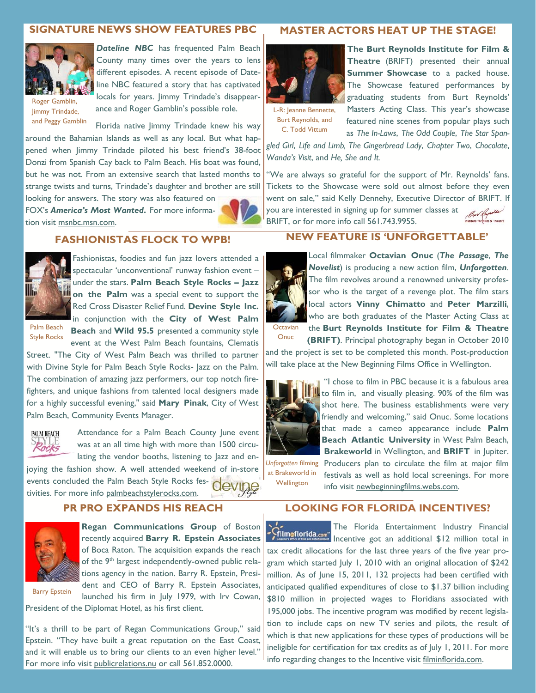# **SIGNATURE NEWS SHOW FEATURES PBC**



*Dateline NBC* has frequented Palm Beach County many times over the years to lens different episodes. A recent episode of Dateline NBC featured a story that has captivated locals for years. Jimmy Trindade's disappearance and Roger Gamblin's possible role.

Roger Gamblin, Jimmy Trindade, and Peggy Gamblin

Florida native Jimmy Trindade knew his way around the Bahamian Islands as well as any local. But what happened when Jimmy Trindade piloted his best friend's 38-foot Donzi from Spanish Cay back to Palm Beach. His boat was found, but he was not. From an extensive search that lasted months to strange twists and turns, Trindade's daughter and brother are still

looking for answers. The story was also featured on FOX's *America's Most Wanted***.** For more information visit msnbc.msn.com.



### **FASHIONISTAS FLOCK TO WPB!**



Fashionistas, foodies and fun jazz lovers attended a spectacular 'unconventional' runway fashion event – under the stars. **Palm Beach Style Rocks – Jazz on the Palm** was a special event to support the Red Cross Disaster Relief Fund. **Devine Style Inc.**  in conjunction with the **City of West Palm** 

Palm Beach Style Rocks

**Beach** and **Wild 95.5** presented a community style event at the West Palm Beach fountains, Clematis

Street. "The City of West Palm Beach was thrilled to partner with Divine Style for Palm Beach Style Rocks- Jazz on the Palm. The combination of amazing jazz performers, our top notch firefighters, and unique fashions from talented local designers made for a highly successful evening," said **Mary Pinak**, City of West Palm Beach, Community Events Manager.



Attendance for a Palm Beach County June event was at an all time high with more than 1500 circulating the vendor booths, listening to Jazz and enjoying the fashion show. A well attended weekend of in-store

events concluded the Palm Beach Style Rocks festivities. For more info palmbeachstylerocks.com.

# **PR PRO EXPANDS HIS REACH**



Barry Epstein

**Regan Communications Group** of Boston recently acquired **Barry R. Epstein Associates**  of Boca Raton. The acquisition expands the reach of the  $9<sup>th</sup>$  largest independently-owned public relations agency in the nation. Barry R. Epstein, President and CEO of Barry R. Epstein Associates, launched his firm in July 1979, with Irv Cowan,

President of the Diplomat Hotel, as his first client.

"It's a thrill to be part of Regan Communications Group," said Epstein. "They have built a great reputation on the East Coast, and it will enable us to bring our clients to an even higher level." For more info visit publicrelations.nu or call 561.852.0000.

#### **MASTER ACTORS HEAT UP THE STAGE!**



**The Burt Reynolds Institute for Film & Theatre** (BRIFT) presented their annual **Summer Showcase** to a packed house. The Showcase featured performances by graduating students from Burt Reynolds'

L-R: Jeanne Bennette, Burt Reynolds, and C. Todd Vittum

Masters Acting Class. This year's showcase featured nine scenes from popular plays such as *The In-Laws*, *The Odd Couple*, *The Star Span-*

*gled Girl*, *Life and Limb, The Gingerbread Lady*, *Chapter Two*, *Chocolate*, *Wanda's Visit*, and *He, She and It.* 

"We are always so grateful for the support of Mr. Reynolds' fans. Tickets to the Showcase were sold out almost before they even went on sale," said Kelly Dennehy, Executive Director of BRIFT. If you are interested in signing up for summer classes at Bur Reynolds BRIFT, or for more info call 561.743.9955. m & Theatre

# **NEW FEATURE IS 'UNFORGETTABLE'**



Local filmmaker **Octavian Onuc** (*The Passage*, *The Novelist*) is producing a new action film, *Unforgotten*. The film revolves around a renowned university professor who is the target of a revenge plot. The film stars local actors **Vinny Chimatto** and **Peter Marzilli**, who are both graduates of the Master Acting Class at the **Burt Reynolds Institute for Film & Theatre** 

**(BRIFT)**. Principal photography began in October 2010 and the project is set to be completed this month. Post-production will take place at the New Beginning Films Office in Wellington. Onuc



 "I chose to film in PBC because it is a fabulous area to film in, and visually pleasing. 90% of the film was shot here. The business establishments were very friendly and welcoming," said Onuc. Some locations that made a cameo appearance include **Palm Beach Atlantic University** in West Palm Beach,

at Brakeworld in Wellington

**Brakeworld** in Wellington, and **BRIFT** in Jupiter. Unforgotten filming Producers plan to circulate the film at major film festivals as well as hold local screenings. For more info visit newbeginningfilms.webs.com.

### **LOOKING FOR FLORIDA INCENTIVES?**

The Florida Entertainment Industry Financial **Film of lorida.com** line that the an additional \$12 million total in tax credit allocations for the last three years of the five year program which started July 1, 2010 with an original allocation of \$242 million. As of June 15, 2011, 132 projects had been certified with anticipated qualified expenditures of close to \$1.37 billion including \$810 million in projected wages to Floridians associated with 195,000 jobs. The incentive program was modified by recent legislation to include caps on new TV series and pilots, the result of which is that new applications for these types of productions will be ineligible for certification for tax credits as of July 1, 2011. For more info regarding changes to the Incentive visit filminflorida.com.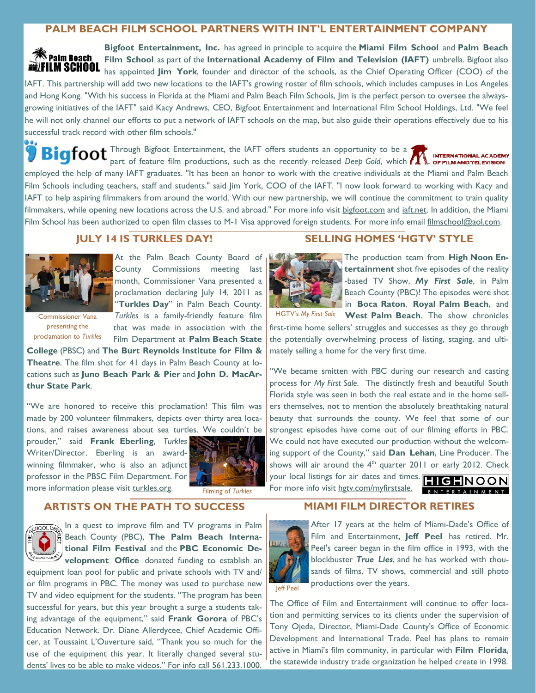## **PALM BEACH FILM SCHOOL PARTNERS WITH INT'L ENTERTAINMENT COMPANY**

**Bigfoot Entertainment, Inc.** has agreed in principle to acquire the **Miami Film School** and **Palm Beach Falm Beach Film School** as part of the **International Academy of Film and Television (IAFT)** umbrella. Bigfoot also LM SCHOOL has appointed **Jim York**, founder and director of the schools, as the Chief Operating Officer (COO) of the IAFT. This partnership will add two new locations to the IAFT's growing roster of film schools, which includes campuses in Los Angeles and Hong Kong. "With his success in Florida at the Miami and Palm Beach Film Schools, Jim is the perfect person to oversee the alwaysgrowing initiatives of the IAFT" said Kacy Andrews, CEO, Bigfoot Entertainment and International Film School Holdings, Ltd. "We feel he will not only channel our efforts to put a network of IAFT schools on the map, but also guide their operations effectively due to his successful track record with other film schools."

 $T$   $\mathbf{f}$   $\mathbf{f}$   $\mathbf{f}$   $\mathbf{f}$   $\mathbf{f}$   $\mathbf{f}$   $\mathbf{f}$   $\mathbf{f}$   $\mathbf{f}$   $\mathbf{f}$   $\mathbf{f}$   $\mathbf{f}$   $\mathbf{f}$   $\mathbf{f}$   $\mathbf{f}$   $\mathbf{f}$   $\mathbf{f}$   $\mathbf{f}$   $\mathbf{f}$   $\mathbf{f}$   $\mathbf{f}$   $\mathbf{f}$   $\mathbf{f}$   $\mathbf{f}$  **INTERNATION** part of feature film productions, such as the recently released *Deep Gold*, which **ALL OFFILMANDTELEVISION** employed the help of many IAFT graduates. "It has been an honor to work with the creative individuals at the Miami and Palm Beach Film Schools including teachers, staff and students." said Jim York, COO of the IAFT. "I now look forward to working with Kacy and IAFT to help aspiring filmmakers from around the world. With our new partnership, we will continue the commitment to train quality filmmakers, while opening new locations across the U.S. and abroad." For more info visit bigfoot.com and iaft.net. In addition, the Miami Film School has been authorized to open film classes to M-1 Visa approved foreign students. For more info email filmschool@aol.com.

## **JULY 14 IS TURKLES DAY!**



At the Palm Beach County Board of County Commissions meeting last month, Commissioner Vana presented a proclamation declaring July 14, 2011 as "**Turkles Day**" in Palm Beach County.

presenting the proclamation to *Turkles*

*Turkles* is a family-friendly feature film HGTV's *My First Sale* Commissioner Vana that was made in association with the Film Department at **Palm Beach State College** (PBSC) and **The Burt Reynolds Institute for Film &** 

**Theatre**. The film shot for 41 days in Palm Beach County at locations such as **Juno Beach Park & Pier** and **John D. MacArthur State Park**.

"We are honored to receive this proclamation! This film was made by 200 volunteer filmmakers, depicts over thirty area locations, and raises awareness about sea turtles. We couldn't be

prouder," said **Frank Eberling**, *Turkles* Writer/Director. Eberling is an awardwinning filmmaker, who is also an adjunct professor in the PBSC Film Department. For more information please visit turkles.org.



Filming of *Turkles*

### **ARTISTS ON THE PATH TO SUCCESS**



**GHOOLD<sub>OO</sub>** In a quest to improve film and TV programs in Palm Beach County (PBC), **The Palm Beach International Film Festival** and the **PBC Economic Development Office** donated funding to establish an

equipment loan pool for public and private schools with TV and/ or film programs in PBC. The money was used to purchase new TV and video equipment for the students. "The program has been successful for years, but this year brought a surge a students taking advantage of the equipment," said **Frank Gorora** of PBC's Education Network. Dr. Diane Allerdycee, Chief Academic Officer, at Toussaint L'Ouverture said, "Thank you so much for the use of the equipment this year. It literally changed several students' lives to be able to make videos." For info call 561.233.1000.

### **SELLING HOMES 'HGTV' STYLE**



The production team from **High Noon Entertainment** shot five episodes of the reality -based TV Show, *My First Sale*, in Palm Beach County (PBC)! The episodes were shot in **Boca Raton**, **Royal Palm Beach**, and **West Palm Beach**. The show chronicles

first-time home sellers' struggles and successes as they go through the potentially overwhelming process of listing, staging, and ultimately selling a home for the very first time.

"We became smitten with PBC during our research and casting process for *My First Sale*. The distinctly fresh and beautiful South Florida style was seen in both the real estate and in the home sellers themselves, not to mention the absolutely breathtaking natural beauty that surrounds the county. We feel that some of our strongest episodes have come out of our filming efforts in PBC. We could not have executed our production without the welcoming support of the County," said **Dan Lehan**, Line Producer. The shows will air around the  $4<sup>th</sup>$  quarter 2011 or early 2012. Check your local listings for air dates and times. **FILEHNOON** 

**MIAMI FILM DIRECTOR RETIRES** 

For more info visit hgtv.com/myfirstsale.

# ENTERTAINMENT



After 17 years at the helm of Miami-Dade's Office of Film and Entertainment, **Jeff Peel** has retired. Mr. Peel's career began in the film office in 1993, with the blockbuster *True Lies*, and he has worked with thousands of films, TV shows, commercial and still photo productions over the years.

The Office of Film and Entertainment will continue to offer location and permitting services to its clients under the supervision of Tony Ojeda, Director, Miami-Dade County's Office of Economic Development and International Trade. Peel has plans to remain active in Miami's film community, in particular with **Film Florida**, the statewide industry trade organization he helped create in 1998.